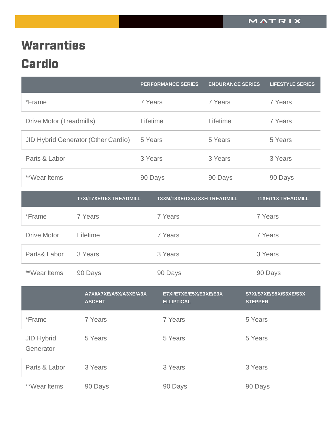## **Warranties Cardio**

|                                |                                         |          | <b>PERFORMANCE SERIES</b>                   | <b>ENDURANCE SERIES</b> |                | <b>LIFESTYLE SERIES</b>   |
|--------------------------------|-----------------------------------------|----------|---------------------------------------------|-------------------------|----------------|---------------------------|
| *Frame                         |                                         | 7 Years  |                                             | 7 Years                 |                | 7 Years                   |
| Drive Motor (Treadmills)       |                                         | Lifetime |                                             | Lifetime                |                | 7 Years                   |
|                                | JID Hybrid Generator (Other Cardio)     | 5 Years  |                                             | 5 Years                 |                | 5 Years                   |
| Parts & Labor                  |                                         | 3 Years  |                                             | 3 Years                 |                | 3 Years                   |
| <b>**Wear Items</b>            |                                         | 90 Days  |                                             | 90 Days                 |                | 90 Days                   |
|                                | <b>T7XI/T7XE/T5X TREADMILL</b>          |          | T3XM/T3XE/T3X/T3XH TREADMILL                |                         |                | <b>T1XE/T1X TREADMILL</b> |
| *Frame                         | 7 Years                                 |          | 7 Years                                     |                         |                | 7 Years                   |
| <b>Drive Motor</b>             | Lifetime                                |          | 7 Years                                     |                         |                | 7 Years                   |
| Parts& Labor                   | 3 Years                                 |          | 3 Years                                     |                         |                | 3 Years                   |
| <b>**Wear Items</b>            | 90 Days                                 |          | 90 Days                                     |                         |                | 90 Days                   |
|                                | A7XIIA7XEIA5XIA3XEIA3X<br><b>ASCENT</b> |          | E7XI/E7XE/E5X/E3XE/E3X<br><b>ELLIPTICAL</b> |                         | <b>STEPPER</b> | S7XI/S7XE/S5X/S3XE/S3X    |
| *Frame                         | 7 Years                                 |          | 7 Years                                     |                         | 5 Years        |                           |
| <b>JID Hybrid</b><br>Generator | 5 Years                                 |          | 5 Years                                     |                         | 5 Years        |                           |
| Parts & Labor                  | 3 Years                                 |          | 3 Years                                     |                         | 3 Years        |                           |
| **Wear Items                   | 90 Days                                 |          | 90 Days                                     |                         | 90 Days        |                           |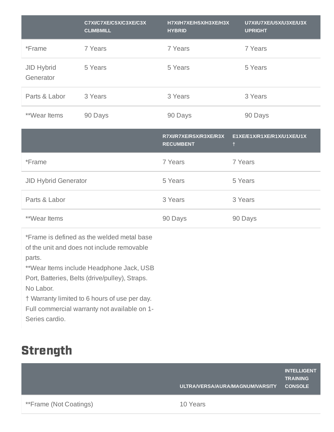|                                | C7XI/C7XE/C5X/C3XE/C3X<br><b>CLIMBMILL</b> | H7XI/H7XE/H5X/H3XE/H3X<br><b>HYBRID</b>    | U7XI/U7XE/U5X/U3XE/U3X<br><b>UPRIGHT</b> |
|--------------------------------|--------------------------------------------|--------------------------------------------|------------------------------------------|
| *Frame                         | 7 Years                                    | 7 Years                                    | 7 Years                                  |
| <b>JID Hybrid</b><br>Generator | 5 Years                                    | 5 Years                                    | 5 Years                                  |
| Parts & Labor                  | 3 Years                                    | 3 Years                                    | 3 Years                                  |
| **Wear Items                   | 90 Days                                    | 90 Days                                    | 90 Days                                  |
|                                |                                            |                                            |                                          |
|                                |                                            | R7XI/R7XE/R5X/R3XE/R3X<br><b>RECUMBENT</b> | E1XE/E1X/R1XE/R1X/U1XE/U1X<br>Ť.         |
| *Frame                         |                                            | 7 Years                                    | 7 Years                                  |
| <b>JID Hybrid Generator</b>    |                                            | 5 Years                                    | 5 Years                                  |
| Parts & Labor                  |                                            | 3 Years                                    | 3 Years                                  |

\*Frame is defined as the welded metal base of the unit and does not include removable parts.

\*\*Wear Items include Headphone Jack, USB Port, Batteries, Belts (drive/pulley), Straps. No Labor.

† Warranty limited to 6 hours of use per day.

Full commercial warranty not available on 1- Series cardio.

## **Strength**

|                               | ULTRA/VERSA/AURA/MAGNUM/VARSITY | <b>INTELLIGENT</b><br><b>TRAINING</b><br><b>CONSOLE</b> |
|-------------------------------|---------------------------------|---------------------------------------------------------|
| <b>**Frame (Not Coatings)</b> | 10 Years                        |                                                         |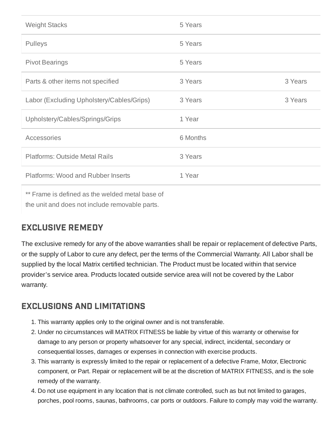| <b>Weight Stacks</b>                      | 5 Years  |         |
|-------------------------------------------|----------|---------|
| Pulleys                                   | 5 Years  |         |
| <b>Pivot Bearings</b>                     | 5 Years  |         |
| Parts & other items not specified         | 3 Years  | 3 Years |
| Labor (Excluding Upholstery/Cables/Grips) | 3 Years  | 3 Years |
| Upholstery/Cables/Springs/Grips           | 1 Year   |         |
| Accessories                               | 6 Months |         |
| <b>Platforms: Outside Metal Rails</b>     | 3 Years  |         |
| <b>Platforms: Wood and Rubber Inserts</b> | 1 Year   |         |

\*\* Frame is defined as the welded metal base of the unit and does not include removable parts.

## EXCLUSIVE REMEDY

The exclusive remedy for any of the above warranties shall be repair or replacement of defective Parts, or the supply of Labor to cure any defect, per the terms of the Commercial Warranty. All Labor shall be supplied by the local Matrix certified technician. The Product must be located within that service provider's service area. Products located outside service area will not be covered by the Labor warranty.

## EXCLUSIONS AND LIMITATIONS

- 1. This warranty applies only to the original owner and is not transferable.
- 2. Under no circumstances will MATRIX FITNESS be liable by virtue of this warranty or otherwise for damage to any person or property whatsoever for any special, indirect, incidental, secondary or consequential losses, damages or expenses in connection with exercise products.
- 3. This warranty is expressly limited to the repair or replacement of a defective Frame, Motor, Electronic component, or Part. Repair or replacement will be at the discretion of MATRIX FITNESS, and is the sole remedy of the warranty.
- 4. Do not use equipment in any location that is not climate controlled, such as but not limited to garages, porches, pool rooms, saunas, bathrooms, car ports or outdoors. Failure to comply may void the warranty.